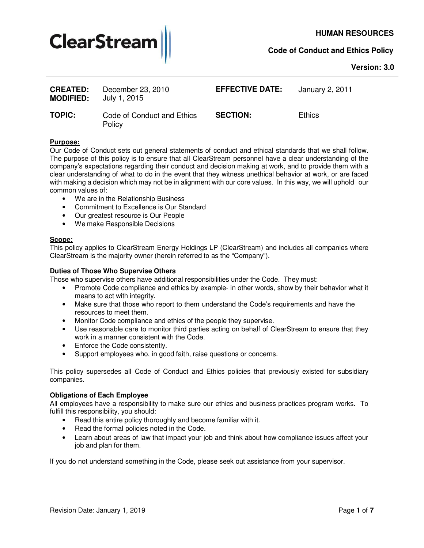

## **Version: 3.0**

| <b>CREATED:</b><br><b>MODIFIED:</b> | December 23, 2010<br>July 1, 2015    | <b>EFFECTIVE DATE:</b> | January 2, 2011 |
|-------------------------------------|--------------------------------------|------------------------|-----------------|
| <b>TOPIC:</b>                       | Code of Conduct and Ethics<br>Policy | <b>SECTION:</b>        | <b>Ethics</b>   |

#### **Purpose:**

Our Code of Conduct sets out general statements of conduct and ethical standards that we shall follow. The purpose of this policy is to ensure that all ClearStream personnel have a clear understanding of the company's expectations regarding their conduct and decision making at work, and to provide them with a clear understanding of what to do in the event that they witness unethical behavior at work, or are faced with making a decision which may not be in alignment with our core values. In this way, we will uphold our common values of:

- We are in the Relationship Business
- Commitment to Excellence is Our Standard
- Our greatest resource is Our People
- We make Responsible Decisions

# **Scope:**

This policy applies to ClearStream Energy Holdings LP (ClearStream) and includes all companies where ClearStream is the majority owner (herein referred to as the "Company").

#### **Duties of Those Who Supervise Others**

Those who supervise others have additional responsibilities under the Code. They must:

- Promote Code compliance and ethics by example- in other words, show by their behavior what it means to act with integrity.
- Make sure that those who report to them understand the Code's requirements and have the resources to meet them.
- Monitor Code compliance and ethics of the people they supervise.
- Use reasonable care to monitor third parties acting on behalf of ClearStream to ensure that they work in a manner consistent with the Code.
- Enforce the Code consistently.
- Support employees who, in good faith, raise questions or concerns.

This policy supersedes all Code of Conduct and Ethics policies that previously existed for subsidiary companies.

#### **Obligations of Each Employee**

All employees have a responsibility to make sure our ethics and business practices program works. To fulfill this responsibility, you should:

- Read this entire policy thoroughly and become familiar with it.
- Read the formal policies noted in the Code.
- Learn about areas of law that impact your job and think about how compliance issues affect your job and plan for them.

If you do not understand something in the Code, please seek out assistance from your supervisor.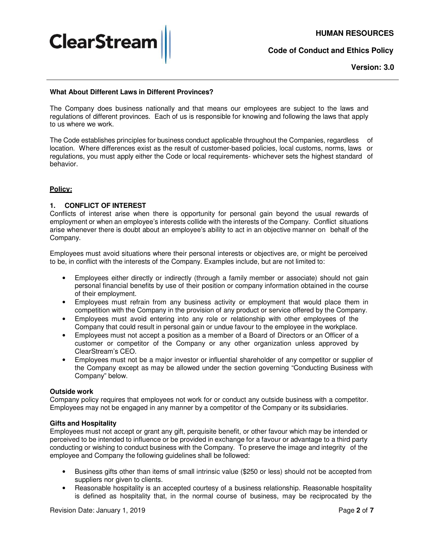

**Version: 3.0**

## **What About Different Laws in Different Provinces?**

The Company does business nationally and that means our employees are subject to the laws and regulations of different provinces. Each of us is responsible for knowing and following the laws that apply to us where we work.

The Code establishes principles for business conduct applicable throughout the Companies, regardless of location. Where differences exist as the result of customer-based policies, local customs, norms, laws or regulations, you must apply either the Code or local requirements- whichever sets the highest standard of behavior.

# **Policy:**

## **1. CONFLICT OF INTEREST**

Conflicts of interest arise when there is opportunity for personal gain beyond the usual rewards of employment or when an employee's interests collide with the interests of the Company. Conflict situations arise whenever there is doubt about an employee's ability to act in an objective manner on behalf of the Company.

Employees must avoid situations where their personal interests or objectives are, or might be perceived to be, in conflict with the interests of the Company. Examples include, but are not limited to:

- Employees either directly or indirectly (through a family member or associate) should not gain personal financial benefits by use of their position or company information obtained in the course of their employment.
- Employees must refrain from any business activity or employment that would place them in competition with the Company in the provision of any product or service offered by the Company.
- Employees must avoid entering into any role or relationship with other employees of the Company that could result in personal gain or undue favour to the employee in the workplace.
- Employees must not accept a position as a member of a Board of Directors or an Officer of a customer or competitor of the Company or any other organization unless approved by ClearStream's CEO.
- Employees must not be a major investor or influential shareholder of any competitor or supplier of the Company except as may be allowed under the section governing "Conducting Business with Company" below.

#### **Outside work**

Company policy requires that employees not work for or conduct any outside business with a competitor. Employees may not be engaged in any manner by a competitor of the Company or its subsidiaries.

#### **Gifts and Hospitality**

Employees must not accept or grant any gift, perquisite benefit, or other favour which may be intended or perceived to be intended to influence or be provided in exchange for a favour or advantage to a third party conducting or wishing to conduct business with the Company. To preserve the image and integrity of the employee and Company the following guidelines shall be followed:

- Business gifts other than items of small intrinsic value (\$250 or less) should not be accepted from suppliers nor given to clients.
- Reasonable hospitality is an accepted courtesy of a business relationship. Reasonable hospitality is defined as hospitality that, in the normal course of business, may be reciprocated by the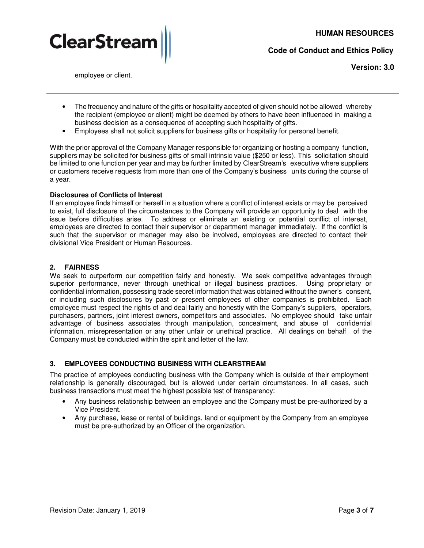

**Version: 3.0**

- employee or client.
- The frequency and nature of the gifts or hospitality accepted of given should not be allowed whereby the recipient (employee or client) might be deemed by others to have been influenced in making a business decision as a consequence of accepting such hospitality of gifts.
- Employees shall not solicit suppliers for business gifts or hospitality for personal benefit.

With the prior approval of the Company Manager responsible for organizing or hosting a company function, suppliers may be solicited for business gifts of small intrinsic value (\$250 or less). This solicitation should be limited to one function per year and may be further limited by ClearStream's executive where suppliers or customers receive requests from more than one of the Company's business units during the course of a year.

# **Disclosures of Conflicts of Interest**

If an employee finds himself or herself in a situation where a conflict of interest exists or may be perceived to exist, full disclosure of the circumstances to the Company will provide an opportunity to deal with the issue before difficulties arise. To address or eliminate an existing or potential conflict of interest, employees are directed to contact their supervisor or department manager immediately. If the conflict is such that the supervisor or manager may also be involved, employees are directed to contact their divisional Vice President or Human Resources.

# **2. FAIRNESS**

We seek to outperform our competition fairly and honestly. We seek competitive advantages through superior performance, never through unethical or illegal business practices. Using proprietary or confidential information, possessing trade secret information that was obtained without the owner's consent, or including such disclosures by past or present employees of other companies is prohibited. Each employee must respect the rights of and deal fairly and honestly with the Company's suppliers, operators, purchasers, partners, joint interest owners, competitors and associates. No employee should take unfair advantage of business associates through manipulation, concealment, and abuse of confidential information, misrepresentation or any other unfair or unethical practice. All dealings on behalf of the Company must be conducted within the spirit and letter of the law.

# **3. EMPLOYEES CONDUCTING BUSINESS WITH CLEARSTREAM**

The practice of employees conducting business with the Company which is outside of their employment relationship is generally discouraged, but is allowed under certain circumstances. In all cases, such business transactions must meet the highest possible test of transparency:

- Any business relationship between an employee and the Company must be pre-authorized by a Vice President.
- Any purchase, lease or rental of buildings, land or equipment by the Company from an employee must be pre-authorized by an Officer of the organization.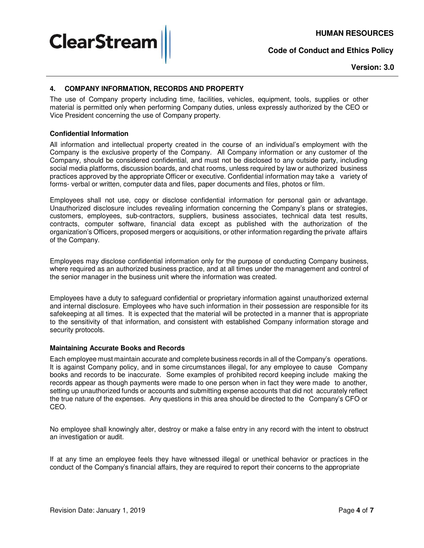**HUMAN RESOURCES**

**Code of Conduct and Ethics Policy**



# **4. COMPANY INFORMATION, RECORDS AND PROPERTY**

The use of Company property including time, facilities, vehicles, equipment, tools, supplies or other material is permitted only when performing Company duties, unless expressly authorized by the CEO or Vice President concerning the use of Company property.

## **Confidential Information**

**ClearStrear** 

All information and intellectual property created in the course of an individual's employment with the Company is the exclusive property of the Company. All Company information or any customer of the Company, should be considered confidential, and must not be disclosed to any outside party, including social media platforms, discussion boards, and chat rooms, unless required by law or authorized business practices approved by the appropriate Officer or executive. Confidential information may take a variety of forms- verbal or written, computer data and files, paper documents and files, photos or film.

Employees shall not use, copy or disclose confidential information for personal gain or advantage. Unauthorized disclosure includes revealing information concerning the Company's plans or strategies, customers, employees, sub-contractors, suppliers, business associates, technical data test results, contracts, computer software, financial data except as published with the authorization of the organization's Officers, proposed mergers or acquisitions, or other information regarding the private affairs of the Company.

Employees may disclose confidential information only for the purpose of conducting Company business, where required as an authorized business practice, and at all times under the management and control of the senior manager in the business unit where the information was created.

Employees have a duty to safeguard confidential or proprietary information against unauthorized external and internal disclosure. Employees who have such information in their possession are responsible for its safekeeping at all times. It is expected that the material will be protected in a manner that is appropriate to the sensitivity of that information, and consistent with established Company information storage and security protocols.

#### **Maintaining Accurate Books and Records**

Each employee must maintain accurate and complete business records in all of the Company's operations. It is against Company policy, and in some circumstances illegal, for any employee to cause Company books and records to be inaccurate. Some examples of prohibited record keeping include making the records appear as though payments were made to one person when in fact they were made to another, setting up unauthorized funds or accounts and submitting expense accounts that did not accurately reflect the true nature of the expenses. Any questions in this area should be directed to the Company's CFO or CEO.

No employee shall knowingly alter, destroy or make a false entry in any record with the intent to obstruct an investigation or audit.

If at any time an employee feels they have witnessed illegal or unethical behavior or practices in the conduct of the Company's financial affairs, they are required to report their concerns to the appropriate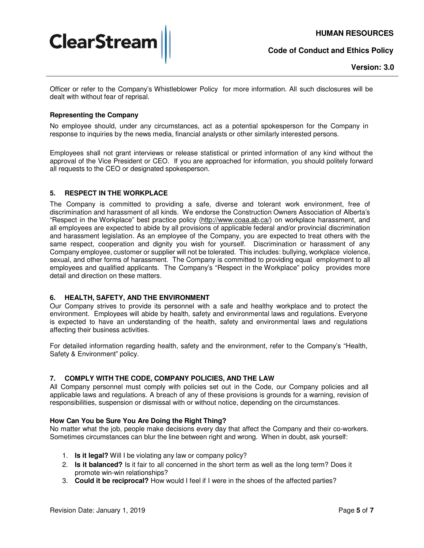

Officer or refer to the Company's Whistleblower Policy for more information. All such disclosures will be dealt with without fear of reprisal.

## **Representing the Company**

No employee should, under any circumstances, act as a potential spokesperson for the Company in response to inquiries by the news media, financial analysts or other similarly interested persons.

Employees shall not grant interviews or release statistical or printed information of any kind without the approval of the Vice President or CEO. If you are approached for information, you should politely forward all requests to the CEO or designated spokesperson.

# **5. RESPECT IN THE WORKPLACE**

The Company is committed to providing a safe, diverse and tolerant work environment, free of discrimination and harassment of all kinds. We endorse the Construction Owners Association of Alberta's "Respect in the Workplace" best practice policy (http://www.coaa.ab.ca/) on workplace harassment, and all employees are expected to abide by all provisions of applicable federal and/or provincial discrimination and harassment legislation. As an employee of the Company, you are expected to treat others with the same respect, cooperation and dignity you wish for yourself. Discrimination or harassment of any Company employee, customer or supplier will not be tolerated. This includes: bullying, workplace violence, sexual, and other forms of harassment. The Company is committed to providing equal employment to all employees and qualified applicants. The Company's "Respect in the Workplace" policy provides more detail and direction on these matters.

# **6. HEALTH, SAFETY, AND THE ENVIRONMENT**

Our Company strives to provide its personnel with a safe and healthy workplace and to protect the environment. Employees will abide by health, safety and environmental laws and regulations. Everyone is expected to have an understanding of the health, safety and environmental laws and regulations affecting their business activities.

For detailed information regarding health, safety and the environment, refer to the Company's "Health, Safety & Environment" policy.

# **7. COMPLY WITH THE CODE, COMPANY POLICIES, AND THE LAW**

All Company personnel must comply with policies set out in the Code, our Company policies and all applicable laws and regulations. A breach of any of these provisions is grounds for a warning, revision of responsibilities, suspension or dismissal with or without notice, depending on the circumstances.

#### **How Can You be Sure You Are Doing the Right Thing?**

No matter what the job, people make decisions every day that affect the Company and their co-workers. Sometimes circumstances can blur the line between right and wrong. When in doubt, ask yourself:

- 1. **Is it legal?** Will I be violating any law or company policy?
- 2. **Is it balanced?** Is it fair to all concerned in the short term as well as the long term? Does it promote win-win relationships?
- 3. **Could it be reciprocal?** How would I feel if I were in the shoes of the affected parties?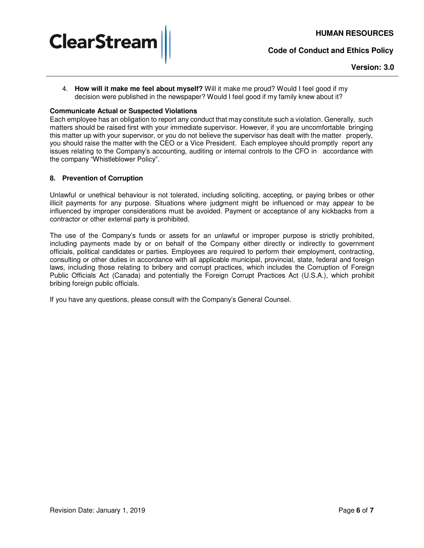

## **Version: 3.0**

4. **How will it make me feel about myself?** Will it make me proud? Would I feel good if my decision were published in the newspaper? Would I feel good if my family knew about it?

## **Communicate Actual or Suspected Violations**

Each employee has an obligation to report any conduct that may constitute such a violation. Generally, such matters should be raised first with your immediate supervisor. However, if you are uncomfortable bringing this matter up with your supervisor, or you do not believe the supervisor has dealt with the matter properly, you should raise the matter with the CEO or a Vice President. Each employee should promptly report any issues relating to the Company's accounting, auditing or internal controls to the CFO in accordance with the company "Whistleblower Policy".

## **8. Prevention of Corruption**

Unlawful or unethical behaviour is not tolerated, including soliciting, accepting, or paying bribes or other illicit payments for any purpose. Situations where judgment might be influenced or may appear to be influenced by improper considerations must be avoided. Payment or acceptance of any kickbacks from a contractor or other external party is prohibited.

The use of the Company's funds or assets for an unlawful or improper purpose is strictly prohibited, including payments made by or on behalf of the Company either directly or indirectly to government officials, political candidates or parties. Employees are required to perform their employment, contracting, consulting or other duties in accordance with all applicable municipal, provincial, state, federal and foreign laws, including those relating to bribery and corrupt practices, which includes the Corruption of Foreign Public Officials Act (Canada) and potentially the Foreign Corrupt Practices Act (U.S.A.), which prohibit bribing foreign public officials.

If you have any questions, please consult with the Company's General Counsel.